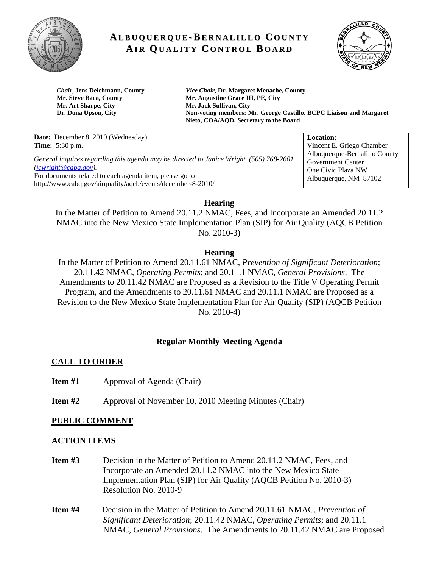

# **AL B U Q U E R Q U E-B E R N A LI L L O C O U N T Y AI R QU A LI T Y C O N T R O L B O A R D**



**Mr. Art Sharpe, City Mr. Jack Sullivan, City** 

*Chair*, **Jens Deichmann, County** *Vice Chair,* **Dr. Margaret Menache, County Mr. Steve Baca, County Mr. Augustine Grace III, PE, City Dr. Dona Upson, City Non-voting members: Mr. George Castillo, BCPC Liaison and Margaret Nieto, COA/AQD, Secretary to the Board**

| <b>Date:</b> December 8, 2010 (Wednesday)                                                                                                                                                                                                | <b>Location:</b>                                                                                         |
|------------------------------------------------------------------------------------------------------------------------------------------------------------------------------------------------------------------------------------------|----------------------------------------------------------------------------------------------------------|
| <b>Time:</b> 5:30 p.m.                                                                                                                                                                                                                   | Vincent E. Griego Chamber                                                                                |
| General inquires regarding this agenda may be directed to Janice Wright (505) 768-2601<br>(jcwright@cabq.gov).<br>For documents related to each agenda item, please go to<br>http://www.cabq.gov/airquality/aqcb/events/december-8-2010/ | Albuquerque-Bernalillo County<br><b>Government Center</b><br>One Civic Plaza NW<br>Albuquerque, NM 87102 |

**Hearing** 

In the Matter of Petition to Amend 20.11.2 NMAC, Fees, and Incorporate an Amended 20.11.2 NMAC into the New Mexico State Implementation Plan (SIP) for Air Quality (AQCB Petition No. 2010-3)

## **Hearing**

In the Matter of Petition to Amend 20.11.61 NMAC, *Prevention of Significant Deterioration*; 20.11.42 NMAC, *Operating Permits*; and 20.11.1 NMAC, *General Provisions*. The Amendments to 20.11.42 NMAC are Proposed as a Revision to the Title V Operating Permit Program, and the Amendments to 20.11.61 NMAC and 20.11.1 NMAC are Proposed as a Revision to the New Mexico State Implementation Plan for Air Quality (SIP) (AQCB Petition No. 2010-4)

## **Regular Monthly Meeting Agenda**

## **CALL TO ORDER**

- **Item #1 Approval of Agenda (Chair)**
- **Item #2** Approval of November 10, 2010 Meeting Minutes (Chair)

## **PUBLIC COMMENT**

### **ACTION ITEMS**

- **Item #3** Decision in the Matter of Petition to Amend 20.11.2 NMAC, Fees, and Incorporate an Amended 20.11.2 NMAC into the New Mexico State Implementation Plan (SIP) for Air Quality (AQCB Petition No. 2010-3) Resolution No. 2010-9
- **Item #4** Decision in the Matter of Petition to Amend 20.11.61 NMAC, *Prevention of Significant Deterioration*; 20.11.42 NMAC, *Operating Permits*; and 20.11.1 NMAC, *General Provisions*. The Amendments to 20.11.42 NMAC are Proposed